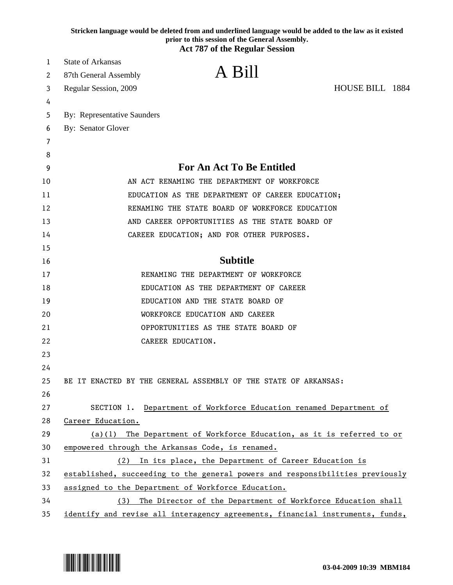|    | Stricken language would be deleted from and underlined language would be added to the law as it existed<br>prior to this session of the General Assembly.<br><b>Act 787 of the Regular Session</b> |
|----|----------------------------------------------------------------------------------------------------------------------------------------------------------------------------------------------------|
| 1  | <b>State of Arkansas</b>                                                                                                                                                                           |
| 2  | A Bill<br>87th General Assembly                                                                                                                                                                    |
| 3  | HOUSE BILL 1884<br>Regular Session, 2009                                                                                                                                                           |
| 4  |                                                                                                                                                                                                    |
| 5  | <b>By: Representative Saunders</b>                                                                                                                                                                 |
| 6  | By: Senator Glover                                                                                                                                                                                 |
| 7  |                                                                                                                                                                                                    |
| 8  |                                                                                                                                                                                                    |
| 9  | <b>For An Act To Be Entitled</b>                                                                                                                                                                   |
| 10 | AN ACT RENAMING THE DEPARTMENT OF WORKFORCE                                                                                                                                                        |
| 11 | EDUCATION AS THE DEPARTMENT OF CAREER EDUCATION;                                                                                                                                                   |
| 12 | RENAMING THE STATE BOARD OF WORKFORCE EDUCATION                                                                                                                                                    |
| 13 | AND CAREER OPPORTUNITIES AS THE STATE BOARD OF                                                                                                                                                     |
| 14 | CAREER EDUCATION; AND FOR OTHER PURPOSES.                                                                                                                                                          |
| 15 |                                                                                                                                                                                                    |
| 16 | <b>Subtitle</b>                                                                                                                                                                                    |
| 17 | RENAMING THE DEPARTMENT OF WORKFORCE                                                                                                                                                               |
| 18 | EDUCATION AS THE DEPARTMENT OF CAREER                                                                                                                                                              |
| 19 | EDUCATION AND THE STATE BOARD OF                                                                                                                                                                   |
| 20 | WORKFORCE EDUCATION AND CAREER                                                                                                                                                                     |
| 21 | OPPORTUNITIES AS THE STATE BOARD OF                                                                                                                                                                |
| 22 | CAREER EDUCATION.                                                                                                                                                                                  |
| 23 |                                                                                                                                                                                                    |
| 24 |                                                                                                                                                                                                    |
| 25 | BE IT ENACTED BY THE GENERAL ASSEMBLY OF THE STATE OF ARKANSAS:                                                                                                                                    |
| 26 |                                                                                                                                                                                                    |
| 27 | Department of Workforce Education renamed Department of<br>SECTION 1.                                                                                                                              |
| 28 | Career Education.                                                                                                                                                                                  |
| 29 | $(a)(1)$ The Department of Workforce Education, as it is referred to or                                                                                                                            |
| 30 | empowered through the Arkansas Code, is renamed.                                                                                                                                                   |
| 31 | In its place, the Department of Career Education is<br>(2)                                                                                                                                         |
| 32 | established, succeeding to the general powers and responsibilities previously                                                                                                                      |
| 33 | assigned to the Department of Workforce Education.                                                                                                                                                 |
| 34 | The Director of the Department of Workforce Education shall<br>(3)                                                                                                                                 |
| 35 | identify and revise all interagency agreements, financial instruments, funds,                                                                                                                      |

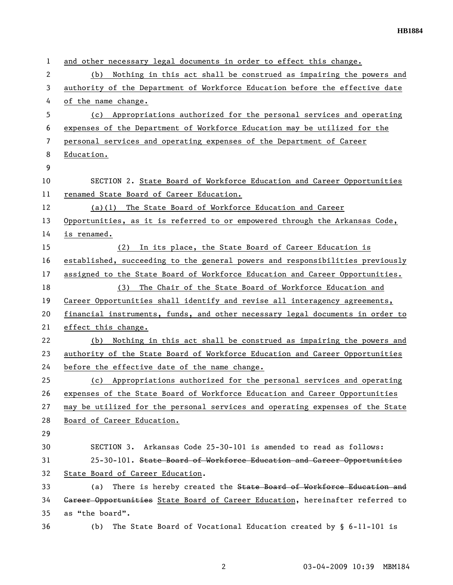| 1  | and other necessary legal documents in order to effect this change.           |
|----|-------------------------------------------------------------------------------|
| 2  | Nothing in this act shall be construed as impairing the powers and<br>(b)     |
| 3  | authority of the Department of Workforce Education before the effective date  |
| 4  | of the name change.                                                           |
| 5  | Appropriations authorized for the personal services and operating<br>(c)      |
| 6  | expenses of the Department of Workforce Education may be utilized for the     |
| 7  | personal services and operating expenses of the Department of Career          |
| 8  | Education.                                                                    |
| 9  |                                                                               |
| 10 | SECTION 2. State Board of Workforce Education and Career Opportunities        |
| 11 | renamed State Board of Career Education.                                      |
| 12 | (a)(1) The State Board of Workforce Education and Career                      |
| 13 | Opportunities, as it is referred to or empowered through the Arkansas Code,   |
| 14 | is renamed.                                                                   |
| 15 | In its place, the State Board of Career Education is<br>(2)                   |
| 16 | established, succeeding to the general powers and responsibilities previously |
| 17 | assigned to the State Board of Workforce Education and Career Opportunities.  |
| 18 | The Chair of the State Board of Workforce Education and<br>(3)                |
| 19 | Career Opportunities shall identify and revise all interagency agreements,    |
| 20 | financial instruments, funds, and other necessary legal documents in order to |
| 21 | effect this change.                                                           |
| 22 | Nothing in this act shall be construed as impairing the powers and<br>(b)     |
| 23 | authority of the State Board of Workforce Education and Career Opportunities  |
| 24 | before the effective date of the name change.                                 |
| 25 | (c) Appropriations authorized for the personal services and operating         |
| 26 | expenses of the State Board of Workforce Education and Career Opportunities   |
| 27 | may be utilized for the personal services and operating expenses of the State |
| 28 | Board of Career Education.                                                    |
| 29 |                                                                               |
| 30 | SECTION 3. Arkansas Code 25-30-101 is amended to read as follows:             |
| 31 | 25-30-101. State Board of Workforce Education and Career Opportunities        |
| 32 | State Board of Career Education.                                              |
| 33 | There is hereby created the State Board of Workforce Education and<br>(a)     |
| 34 | Gareer Opportunities State Board of Career Education, hereinafter referred to |
| 35 | as "the board".                                                               |
| 36 | The State Board of Vocational Education created by $\S$ 6-11-101 is<br>(b)    |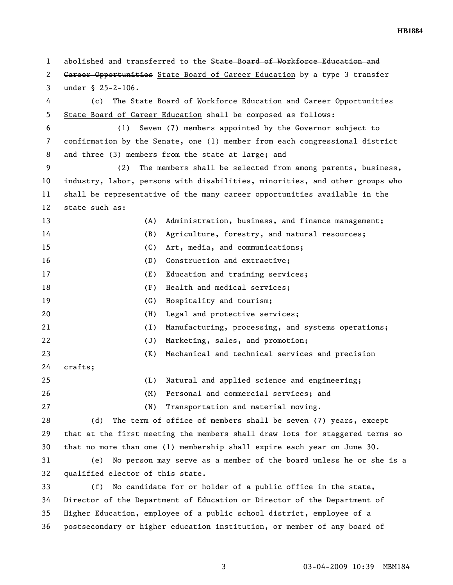1 abolished and transferred to the State Board of Workforce Education and 2 <del>Career Opportunities</del> State Board of Career Education by a type 3 transfer 3 under § 25-2-106. 4 (c) The State Board of Workforce Education and Career Opportunities 5 State Board of Career Education shall be composed as follows: 6 (1) Seven (7) members appointed by the Governor subject to 7 confirmation by the Senate, one (1) member from each congressional district 8 and three (3) members from the state at large; and 9 (2) The members shall be selected from among parents, business, 10 industry, labor, persons with disabilities, minorities, and other groups who 11 shall be representative of the many career opportunities available in the 12 state such as: 13 (A) Administration, business, and finance management; 14 (B) Agriculture, forestry, and natural resources; 15 (C) Art, media, and communications; 16 (D) Construction and extractive; 17 (E) Education and training services; 18 (F) Health and medical services; 19 (G) Hospitality and tourism; 20 (H) Legal and protective services; 21 (I) Manufacturing, processing, and systems operations; 22 (J) Marketing, sales, and promotion; 23 (K) Mechanical and technical services and precision 24 crafts; 25 (L) Natural and applied science and engineering; 26 (M) Personal and commercial services; and 27 (N) Transportation and material moving. 28 (d) The term of office of members shall be seven (7) years, except 29 that at the first meeting the members shall draw lots for staggered terms so 30 that no more than one (1) membership shall expire each year on June 30. 31 (e) No person may serve as a member of the board unless he or she is a 32 qualified elector of this state. 33 (f) No candidate for or holder of a public office in the state, 34 Director of the Department of Education or Director of the Department of 35 Higher Education, employee of a public school district, employee of a 36 postsecondary or higher education institution, or member of any board of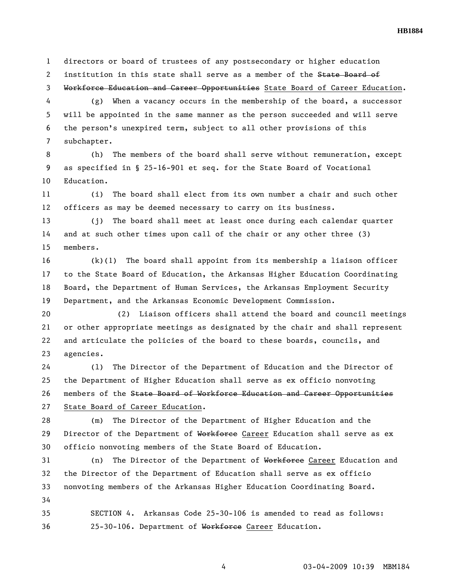1 directors or board of trustees of any postsecondary or higher education 2 institution in this state shall serve as a member of the State Board of 3 Workforce Education and Career Opportunities State Board of Career Education.

4 (g) When a vacancy occurs in the membership of the board, a successor 5 will be appointed in the same manner as the person succeeded and will serve 6 the person's unexpired term, subject to all other provisions of this 7 subchapter.

8 (h) The members of the board shall serve without remuneration, except 9 as specified in § 25-16-901 et seq. for the State Board of Vocational 10 Education.

11 (i) The board shall elect from its own number a chair and such other 12 officers as may be deemed necessary to carry on its business.

13 (j) The board shall meet at least once during each calendar quarter 14 and at such other times upon call of the chair or any other three (3) 15 members.

16 (k)(1) The board shall appoint from its membership a liaison officer 17 to the State Board of Education, the Arkansas Higher Education Coordinating 18 Board, the Department of Human Services, the Arkansas Employment Security 19 Department, and the Arkansas Economic Development Commission.

20 (2) Liaison officers shall attend the board and council meetings 21 or other appropriate meetings as designated by the chair and shall represent 22 and articulate the policies of the board to these boards, councils, and 23 agencies.

24 (l) The Director of the Department of Education and the Director of 25 the Department of Higher Education shall serve as ex officio nonvoting 26 members of the State Board of Workforce Education and Career Opportunities 27 State Board of Career Education.

28 (m) The Director of the Department of Higher Education and the 29 Director of the Department of Workforce Career Education shall serve as ex 30 officio nonvoting members of the State Board of Education.

31 (n) The Director of the Department of Workforce Career Education and 32 the Director of the Department of Education shall serve as ex officio 33 nonvoting members of the Arkansas Higher Education Coordinating Board. 34

35 SECTION 4. Arkansas Code 25-30-106 is amended to read as follows: 36 25-30-106. Department of Workforce Career Education.

**HB1884**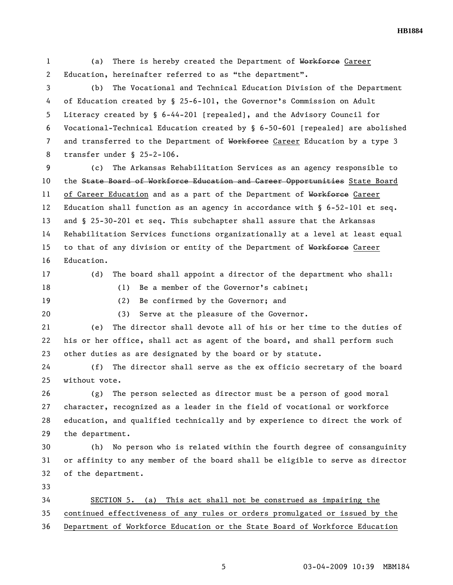**HB1884** 

1 (a) There is hereby created the Department of Workforce Career 2 Education, hereinafter referred to as "the department".

3 (b) The Vocational and Technical Education Division of the Department 4 of Education created by § 25-6-101, the Governor's Commission on Adult 5 Literacy created by § 6-44-201 [repealed], and the Advisory Council for 6 Vocational-Technical Education created by § 6-50-601 [repealed] are abolished 7 and transferred to the Department of Workforce Career Education by a type 3 8 transfer under § 25-2-106.

9 (c) The Arkansas Rehabilitation Services as an agency responsible to 10 the State Board of Workforce Education and Career Opportunities State Board 11 of Career Education and as a part of the Department of Workforce Career 12 Education shall function as an agency in accordance with § 6-52-101 et seq. 13 and § 25-30-201 et seq. This subchapter shall assure that the Arkansas 14 Rehabilitation Services functions organizationally at a level at least equal 15 to that of any division or entity of the Department of Workforce Career 16 Education.

17 (d) The board shall appoint a director of the department who shall:

18 (1) Be a member of the Governor's cabinet;

20 (3) Serve at the pleasure of the Governor.

19 (2) Be confirmed by the Governor; and

21 (e) The director shall devote all of his or her time to the duties of 22 his or her office, shall act as agent of the board, and shall perform such 23 other duties as are designated by the board or by statute.

24 (f) The director shall serve as the ex officio secretary of the board 25 without vote.

26 (g) The person selected as director must be a person of good moral 27 character, recognized as a leader in the field of vocational or workforce 28 education, and qualified technically and by experience to direct the work of 29 the department.

30 (h) No person who is related within the fourth degree of consanguinity 31 or affinity to any member of the board shall be eligible to serve as director 32 of the department.

33

34 SECTION 5. (a) This act shall not be construed as impairing the 35 continued effectiveness of any rules or orders promulgated or issued by the 36 Department of Workforce Education or the State Board of Workforce Education